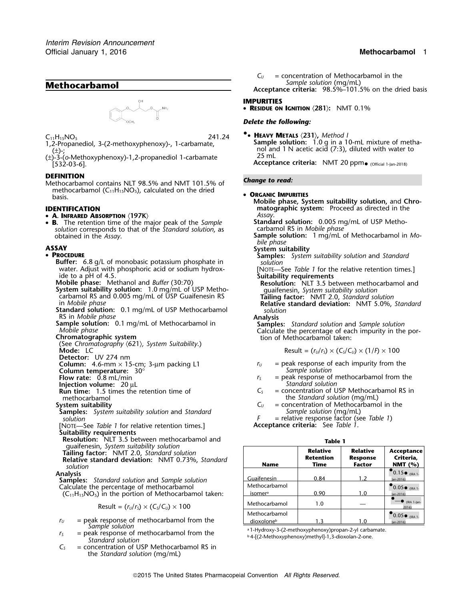# **Methocarbamol** *Sample solution* (mg/mL)



- 
- (±)-3-(*o*-Methoxyphenoxy)-1,2-propanediol 1-carbamate <sup>25</sup> mL

### **DEFINITION**

**DEFINITION**<br>Methocarbamol contains NLT 98.5% and NMT 101.5% of **Change to read:** methocarbamol (C<sub>11</sub>H<sub>15</sub>NO<sub>5</sub>), calculated on the dried • **ORGANIC IMPURITIES**<br>basis.

- **<sup>A</sup>. INFRARED ABSORPTION** 〈**197K**〉 *Assay*.
- •**B.** The retention time of the major peak of the *Sample* **Standard solution:** 0.005 mg/mL of USP Metho-<br>solution corresponds to that of the *Standard solution*, as carbamol RS in *Mobile phase solution* corresponds to that of the *Standard solution*, as obtained in the *Assay*.

### • PROCEDURE

- **Buffer:** 6.8 g/L of monobasic potassium phosphate in *solution*<br>
water. Adjust with phosphoric acid or sodium hydrox- [NOTE—See Table 1 for the relative retention times.]
- 
- **System suitability solution:** 1.0 mg/mL of USP Metho- guaifenesin, *System suitability solution* carbamol RS and 0.005 mg/mL of USP Guaifenesin RS **Tailing factor:** NMT 2.0, *Standard solution*
- **Standard solution:** 0.1 mg/mL of USP Methocarbamol *solution* **solution RS** in *Mobile phase*
- 
- 
- (See *Chromatography* 〈621〉*, System Suitability*.)
- **Detector:** UV 274 nm

- **Column temperature:** 30° *Sample solution*
- 
- **Injection volume:**  $20 \mu L$  **Run time:** 1.5 times the retention time of  $C_s$
- 
- 

**Samples:** *System suitability solution* and *Standard F* 

[NOTE-See *Table 1* for relative retention times.] **Suitability requirements**

**Resolution:** NLT 3.5 between methocarbamol and guaifenesin, *System suitability solution* 

$$
Result = (r_U/r_S) \times (C_S/C_U) \times 100
$$

- $r_U$  = peak response of methocarbamol from the *Sample solution*<br>a<sup>1</sup>-Hydroxy-3-(2-methoxyphenoxy)propan-2-yl carbamate.
- $r<sub>S</sub>$  = peak response of methocarbamol from the *Standard solution*
- $C<sub>S</sub>$  = concentration of USP Methocarbamol RS in the *Standard solution* (mg/mL)

 $C_U$  = concentration of Methocarbamol in the *Sample solution* (mg/mL) **Acceptance criteria:** 98.5%–101.5% on the dried basis

## **IMPURITIES**

• **RESIDUE ON IGNITION** 〈**281**〉**:** NMT 0.1%

# *Delete the following:*

**• HEAVY METALS**  $\langle 231 \rangle$ , Method I 1,2-Propanediol, 3-(2-methoxyphenoxy)-, 1-carbamate, **Sample solution:** 1.0 g in a 10-mL mixture of metha-<br>
(±)-:<br>
(±)-: nol and 1 N acetic acid (7:3), diluted with water to  $25 \text{ mL}$ 

Acceptance criteria: NMT 20 ppm. (Official 1-Jan-2018)

**OPPERITIES IDENTIFICATION**<br> **OPENTIFICATION IDENTIFICATION OPENTIFICATION IDENTIFICATION IDENTIFICATION matographic system:** Proceed as directed in the

- **Sample solution:** 1 mg/mL of Methocarbamol in *Mobile phase*
- **bile phase bile phase bile phase System suitability** 
	- **Samples:** System suitability solution and Standard
	-
	- ide to a pH of 4.5.<br> **Mobile phase:** Methanol and *Buffer* (30:70)<br>
	System suitability solution: 1.0 mg/mL of USP Metho-<br>
	System suitability solution: 1.0 mg/mL of USP Metho-<br>
	guaifenesin, *System suitability solution* 
		-
		- in *Mobile phase* **Relative standard deviation:** NMT 5.0%, *Standard*

RS in Mobile phase<br> **Sample solution:** 0.1 mg/mL of Methocarbamol in<br>
Mobile phase<br>
Calculate the percentage of each impurity in the por-<br> **Chromatographic system**<br>
Chromatographic system<br>
Chromatographic system<br>
Chromatog

$$
\text{Mode: LC} \quad \begin{array}{c} \text{I} \quad \text{I} \quad \text{I} \quad \text{I} \quad \text{I} \quad \text{I} \quad \text{I} \quad \text{I} \quad \text{I} \quad \text{I} \quad \text{I} \quad \text{I} \quad \text{I} \quad \text{I} \quad \text{I} \quad \text{I} \quad \text{I} \quad \text{I} \quad \text{I} \quad \text{I} \quad \text{I} \quad \text{I} \quad \text{I} \quad \text{I} \quad \text{I} \quad \text{I} \quad \text{I} \quad \text{I} \quad \text{I} \quad \text{I} \quad \text{I} \quad \text{I} \quad \text{I} \quad \text{I} \quad \text{I} \quad \text{I} \quad \text{I} \quad \text{I} \quad \text{I} \quad \text{I} \quad \text{I} \quad \text{I} \quad \text{I} \quad \text{I} \quad \text{I} \quad \text{I} \quad \text{I} \quad \text{I} \quad \text{I} \quad \text{I} \quad \text{I} \quad \text{I} \quad \text{I} \quad \text{I} \quad \text{I} \quad \text{I} \quad \text{I} \quad \text{I} \quad \text{I} \quad \text{I} \quad \text{I} \quad \text{I} \quad \text{I} \quad \text{I} \quad \text{I} \quad \text{I} \quad \text{I} \quad \text{I} \quad \text{I} \quad \text{I} \quad \text{I} \quad \text{I} \quad \text{I} \quad \text{I} \quad \text{I} \quad \text{I} \quad \text{I} \quad \text{I} \quad \text{I} \quad \text{I} \quad \text{I} \quad \text{I} \quad \text{I} \quad \text{I} \quad \text{I} \quad \text{I} \quad \text{I} \quad \text{I} \quad \text{I} \quad \text{I} \quad \text{I} \quad \text{I} \quad \text{I} \quad \text{I} \quad \text{I} \quad \text{I} \quad \text{I} \quad \text{I} \quad \text{I} \quad \text{I} \quad \text{I} \quad \text{I} \quad \text{I} \quad \text{I} \quad \text{I} \quad \text{I} \quad \text
$$

- **Column:** 4.6-mm × 15-cm; 3-µm packing L1 *<sup>r</sup><sup>U</sup>* = peak response of each impurity from the
- **Flow rate:** 0.8 mL/min *r<sub>S</sub>* = peak response of methocarbamol from the **Injection volume:** 20 uL<br>**Injection volume:** 20 uL
- $R =$  concentration of USP Methocarbamol RS in methocarbamol the *Standard solution* (mg/mL)<br>stem suitability  $C_U$  = concentration of Methocarbamo
- **System suitability**<br>**Samples:** System suitability solution and Standard **C**<sup>U</sup> = concentration of Methocarbamol in the<br>Sample solution (mg/mL)
	- *F* = relative response factor (see *Table 1*)<br>**Acceptance criteria:** See *Table 1*.

| lani<br>۱ |  |
|-----------|--|
|-----------|--|

| quaifenesin, System suitability solution<br>Tailing factor: NMT 2.0, Standard solution<br>Relative standard deviation: NMT 0.73%, Standard<br>solution | <b>Name</b>                             | <b>Relative</b><br>Retention<br>Time | Relative<br><b>Response</b><br><b>Factor</b> | <b>Acceptance</b><br>Criteria,<br>NMT $(\% )$ |
|--------------------------------------------------------------------------------------------------------------------------------------------------------|-----------------------------------------|--------------------------------------|----------------------------------------------|-----------------------------------------------|
| Analysis<br><b>Samples:</b> Standard solution and Sample solution                                                                                      | Guaifenesin                             | 0.84                                 | 1.2                                          | $\bullet$ 0.15 $\bullet$ (IRA 1-<br>lan-2016) |
| Calculate the percentage of methocarbamol<br>$(C_{11}H_{15}NO_5)$ in the portion of Methocarbamol taken:                                               | Methocarbamol<br>isomera                | 0.90                                 | 1.0                                          | $\bullet$ 0.05 $\bullet$ (IRA 1-<br>lan-2016) |
| Result = $(r_U/r_s) \times (C_s/C_u) \times 100$                                                                                                       | Methocarbamol                           | 1.0                                  |                                              | $\leftarrow$ (IRA 1-Jan-<br>2016)             |
| $=$ peak response of methocarbamol from the<br>$r_{U}$                                                                                                 | Methocarbamol<br>dioxolone <sup>b</sup> | 1.3                                  | 1.0                                          | $\bullet$ 0.05 $\bullet$ (IRA 1-<br>lan-2016) |

<sup>b</sup> 4-[(2-Methoxyphenoxy)methyl]-1,3-dioxolan-2-one.